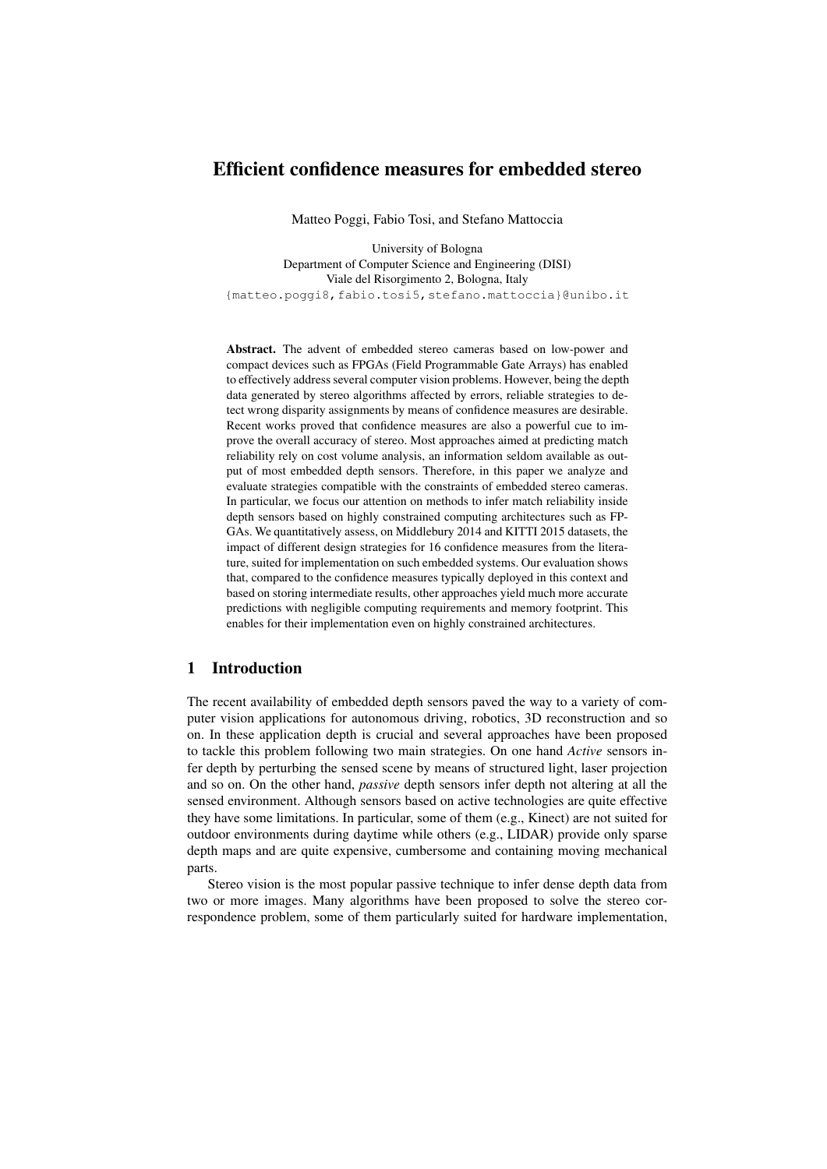# Efficient confidence measures for embedded stereo

Matteo Poggi, Fabio Tosi, and Stefano Mattoccia

University of Bologna Department of Computer Science and Engineering (DISI) Viale del Risorgimento 2, Bologna, Italy {matteo.poggi8,fabio.tosi5,stefano.mattoccia}@unibo.it

Abstract. The advent of embedded stereo cameras based on low-power and compact devices such as FPGAs (Field Programmable Gate Arrays) has enabled to effectively address several computer vision problems. However, being the depth data generated by stereo algorithms affected by errors, reliable strategies to detect wrong disparity assignments by means of confidence measures are desirable. Recent works proved that confidence measures are also a powerful cue to improve the overall accuracy of stereo. Most approaches aimed at predicting match reliability rely on cost volume analysis, an information seldom available as output of most embedded depth sensors. Therefore, in this paper we analyze and evaluate strategies compatible with the constraints of embedded stereo cameras. In particular, we focus our attention on methods to infer match reliability inside depth sensors based on highly constrained computing architectures such as FP-GAs. We quantitatively assess, on Middlebury 2014 and KITTI 2015 datasets, the impact of different design strategies for 16 confidence measures from the literature, suited for implementation on such embedded systems. Our evaluation shows that, compared to the confidence measures typically deployed in this context and based on storing intermediate results, other approaches yield much more accurate predictions with negligible computing requirements and memory footprint. This enables for their implementation even on highly constrained architectures.

## 1 Introduction

The recent availability of embedded depth sensors paved the way to a variety of computer vision applications for autonomous driving, robotics, 3D reconstruction and so on. In these application depth is crucial and several approaches have been proposed to tackle this problem following two main strategies. On one hand *Active* sensors infer depth by perturbing the sensed scene by means of structured light, laser projection and so on. On the other hand, *passive* depth sensors infer depth not altering at all the sensed environment. Although sensors based on active technologies are quite effective they have some limitations. In particular, some of them (e.g., Kinect) are not suited for outdoor environments during daytime while others (e.g., LIDAR) provide only sparse depth maps and are quite expensive, cumbersome and containing moving mechanical parts.

Stereo vision is the most popular passive technique to infer dense depth data from two or more images. Many algorithms have been proposed to solve the stereo correspondence problem, some of them particularly suited for hardware implementation,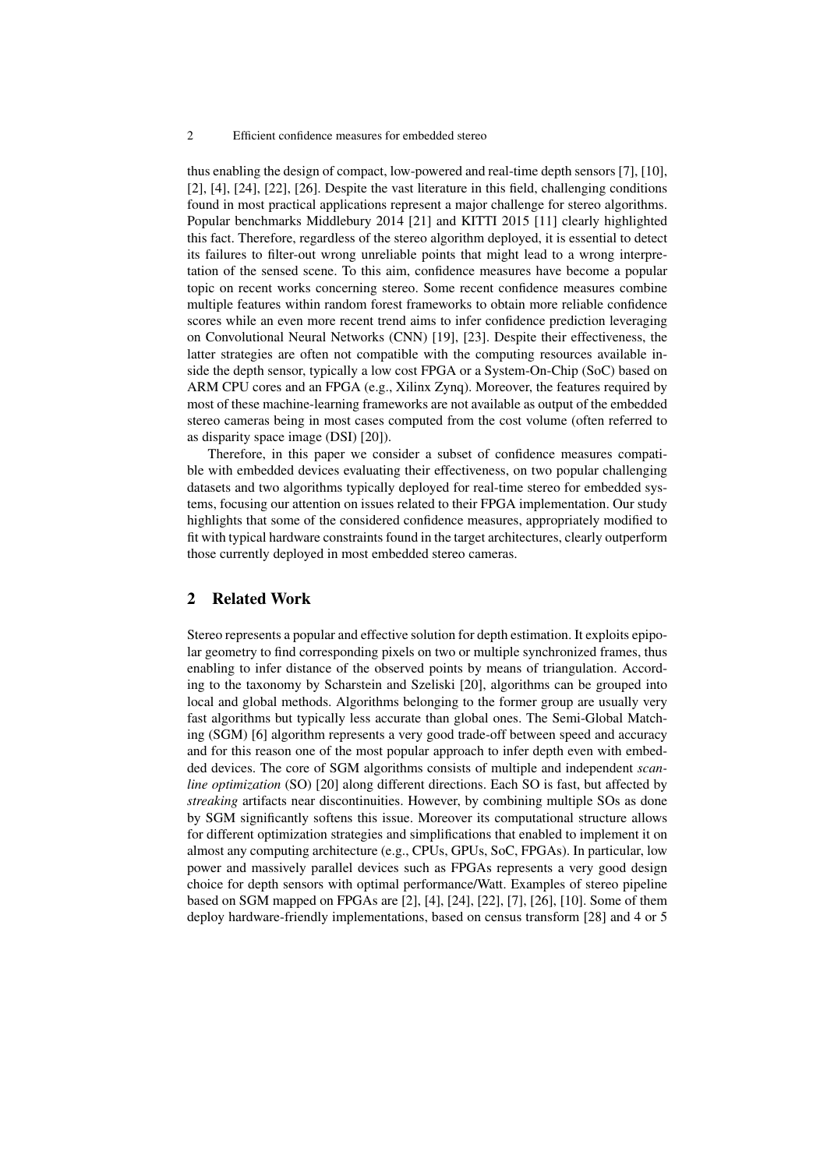#### 2 Efficient confidence measures for embedded stereo

thus enabling the design of compact, low-powered and real-time depth sensors [7], [10], [2], [4], [24], [22], [26]. Despite the vast literature in this field, challenging conditions found in most practical applications represent a major challenge for stereo algorithms. Popular benchmarks Middlebury 2014 [21] and KITTI 2015 [11] clearly highlighted this fact. Therefore, regardless of the stereo algorithm deployed, it is essential to detect its failures to filter-out wrong unreliable points that might lead to a wrong interpretation of the sensed scene. To this aim, confidence measures have become a popular topic on recent works concerning stereo. Some recent confidence measures combine multiple features within random forest frameworks to obtain more reliable confidence scores while an even more recent trend aims to infer confidence prediction leveraging on Convolutional Neural Networks (CNN) [19], [23]. Despite their effectiveness, the latter strategies are often not compatible with the computing resources available inside the depth sensor, typically a low cost FPGA or a System-On-Chip (SoC) based on ARM CPU cores and an FPGA (e.g., Xilinx Zynq). Moreover, the features required by most of these machine-learning frameworks are not available as output of the embedded stereo cameras being in most cases computed from the cost volume (often referred to as disparity space image (DSI) [20]).

Therefore, in this paper we consider a subset of confidence measures compatible with embedded devices evaluating their effectiveness, on two popular challenging datasets and two algorithms typically deployed for real-time stereo for embedded systems, focusing our attention on issues related to their FPGA implementation. Our study highlights that some of the considered confidence measures, appropriately modified to fit with typical hardware constraints found in the target architectures, clearly outperform those currently deployed in most embedded stereo cameras.

### 2 Related Work

Stereo represents a popular and effective solution for depth estimation. It exploits epipolar geometry to find corresponding pixels on two or multiple synchronized frames, thus enabling to infer distance of the observed points by means of triangulation. According to the taxonomy by Scharstein and Szeliski [20], algorithms can be grouped into local and global methods. Algorithms belonging to the former group are usually very fast algorithms but typically less accurate than global ones. The Semi-Global Matching (SGM) [6] algorithm represents a very good trade-off between speed and accuracy and for this reason one of the most popular approach to infer depth even with embedded devices. The core of SGM algorithms consists of multiple and independent *scanline optimization* (SO) [20] along different directions. Each SO is fast, but affected by *streaking* artifacts near discontinuities. However, by combining multiple SOs as done by SGM significantly softens this issue. Moreover its computational structure allows for different optimization strategies and simplifications that enabled to implement it on almost any computing architecture (e.g., CPUs, GPUs, SoC, FPGAs). In particular, low power and massively parallel devices such as FPGAs represents a very good design choice for depth sensors with optimal performance/Watt. Examples of stereo pipeline based on SGM mapped on FPGAs are [2], [4], [24], [22], [7], [26], [10]. Some of them deploy hardware-friendly implementations, based on census transform [28] and 4 or 5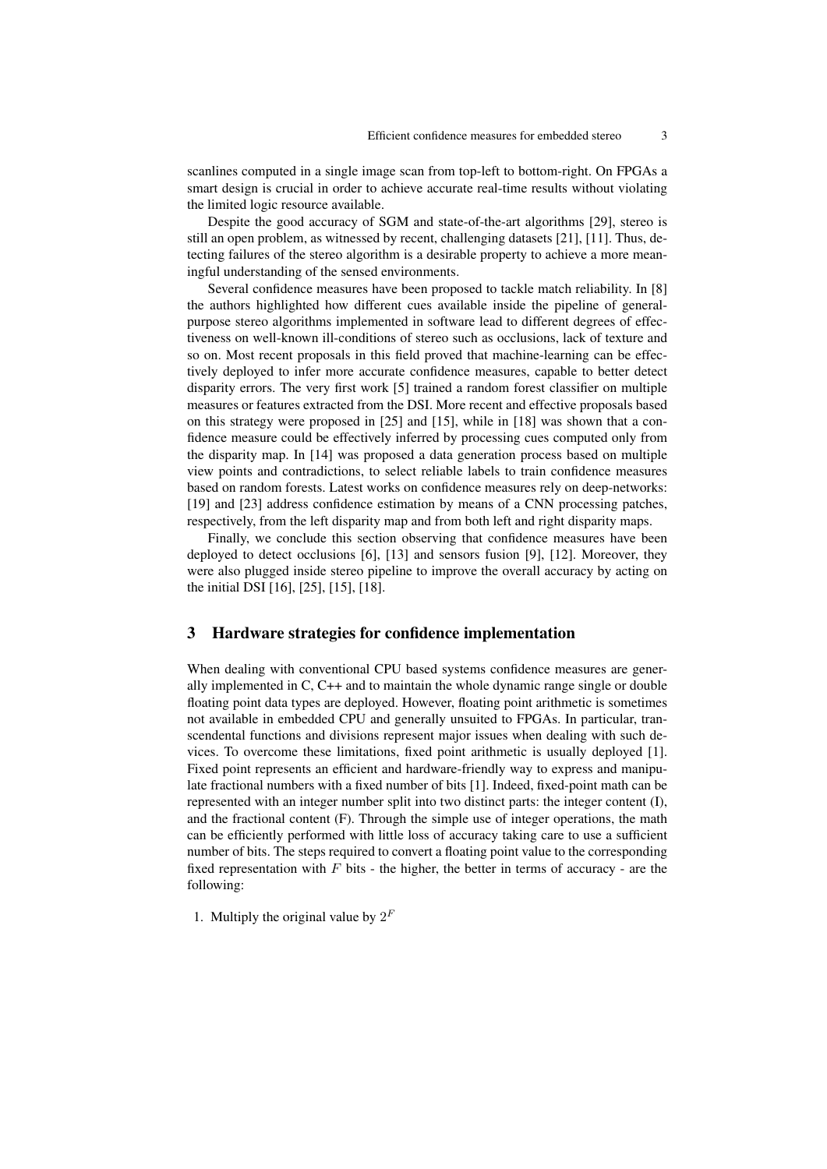scanlines computed in a single image scan from top-left to bottom-right. On FPGAs a smart design is crucial in order to achieve accurate real-time results without violating the limited logic resource available.

Despite the good accuracy of SGM and state-of-the-art algorithms [29], stereo is still an open problem, as witnessed by recent, challenging datasets [21], [11]. Thus, detecting failures of the stereo algorithm is a desirable property to achieve a more meaningful understanding of the sensed environments.

Several confidence measures have been proposed to tackle match reliability. In [8] the authors highlighted how different cues available inside the pipeline of generalpurpose stereo algorithms implemented in software lead to different degrees of effectiveness on well-known ill-conditions of stereo such as occlusions, lack of texture and so on. Most recent proposals in this field proved that machine-learning can be effectively deployed to infer more accurate confidence measures, capable to better detect disparity errors. The very first work [5] trained a random forest classifier on multiple measures or features extracted from the DSI. More recent and effective proposals based on this strategy were proposed in [25] and [15], while in [18] was shown that a confidence measure could be effectively inferred by processing cues computed only from the disparity map. In [14] was proposed a data generation process based on multiple view points and contradictions, to select reliable labels to train confidence measures based on random forests. Latest works on confidence measures rely on deep-networks: [19] and [23] address confidence estimation by means of a CNN processing patches, respectively, from the left disparity map and from both left and right disparity maps.

Finally, we conclude this section observing that confidence measures have been deployed to detect occlusions [6], [13] and sensors fusion [9], [12]. Moreover, they were also plugged inside stereo pipeline to improve the overall accuracy by acting on the initial DSI [16], [25], [15], [18].

## 3 Hardware strategies for confidence implementation

When dealing with conventional CPU based systems confidence measures are generally implemented in  $C$ ,  $C++$  and to maintain the whole dynamic range single or double floating point data types are deployed. However, floating point arithmetic is sometimes not available in embedded CPU and generally unsuited to FPGAs. In particular, transcendental functions and divisions represent major issues when dealing with such devices. To overcome these limitations, fixed point arithmetic is usually deployed [1]. Fixed point represents an efficient and hardware-friendly way to express and manipulate fractional numbers with a fixed number of bits [1]. Indeed, fixed-point math can be represented with an integer number split into two distinct parts: the integer content (I), and the fractional content (F). Through the simple use of integer operations, the math can be efficiently performed with little loss of accuracy taking care to use a sufficient number of bits. The steps required to convert a floating point value to the corresponding fixed representation with  $F$  bits - the higher, the better in terms of accuracy - are the following:

1. Multiply the original value by  $2^F$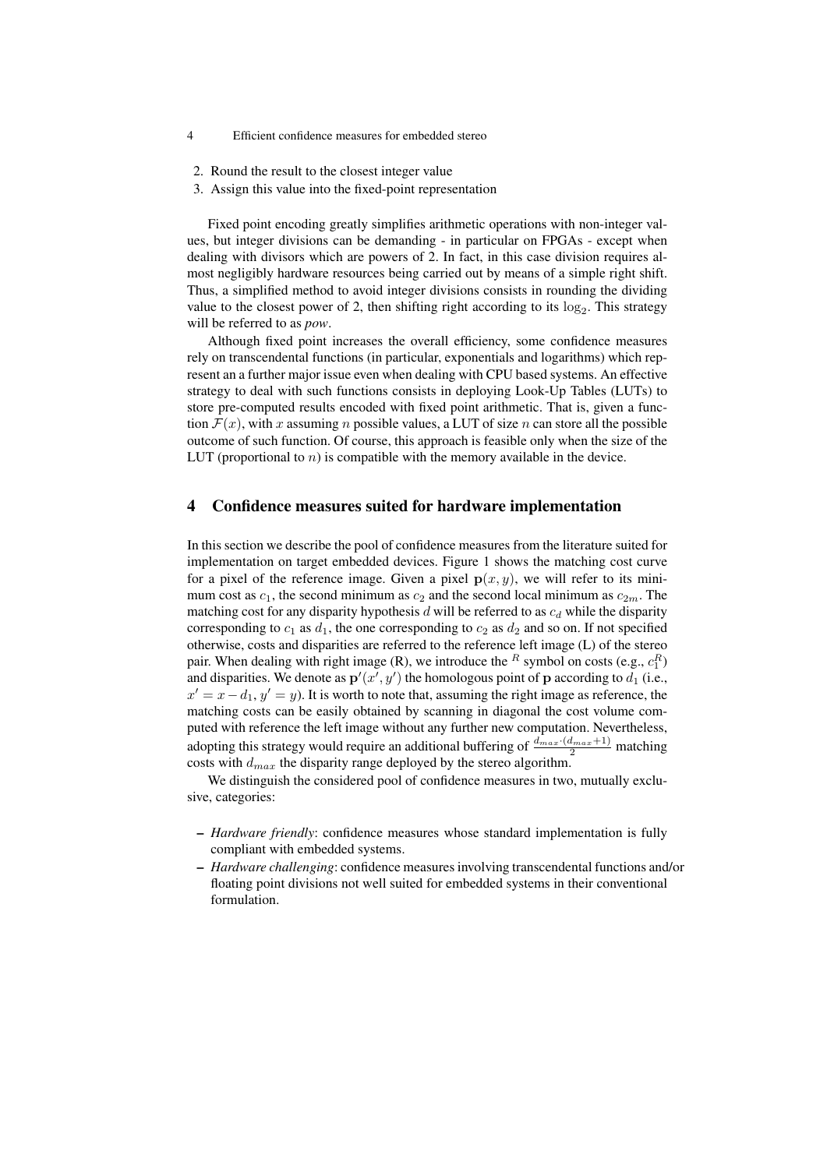- 4 Efficient confidence measures for embedded stereo
- 2. Round the result to the closest integer value
- 3. Assign this value into the fixed-point representation

Fixed point encoding greatly simplifies arithmetic operations with non-integer values, but integer divisions can be demanding - in particular on FPGAs - except when dealing with divisors which are powers of 2. In fact, in this case division requires almost negligibly hardware resources being carried out by means of a simple right shift. Thus, a simplified method to avoid integer divisions consists in rounding the dividing value to the closest power of 2, then shifting right according to its  $log_2$ . This strategy will be referred to as *pow*.

Although fixed point increases the overall efficiency, some confidence measures rely on transcendental functions (in particular, exponentials and logarithms) which represent an a further major issue even when dealing with CPU based systems. An effective strategy to deal with such functions consists in deploying Look-Up Tables (LUTs) to store pre-computed results encoded with fixed point arithmetic. That is, given a function  $\mathcal{F}(x)$ , with x assuming n possible values, a LUT of size n can store all the possible outcome of such function. Of course, this approach is feasible only when the size of the LUT (proportional to  $n$ ) is compatible with the memory available in the device.

## 4 Confidence measures suited for hardware implementation

In this section we describe the pool of confidence measures from the literature suited for implementation on target embedded devices. Figure 1 shows the matching cost curve for a pixel of the reference image. Given a pixel  $p(x, y)$ , we will refer to its minimum cost as  $c_1$ , the second minimum as  $c_2$  and the second local minimum as  $c_{2m}$ . The matching cost for any disparity hypothesis  $d$  will be referred to as  $c_d$  while the disparity corresponding to  $c_1$  as  $d_1$ , the one corresponding to  $c_2$  as  $d_2$  and so on. If not specified otherwise, costs and disparities are referred to the reference left image (L) of the stereo pair. When dealing with right image (R), we introduce the  $^R$  symbol on costs (e.g.,  $c_1^R$ ) and disparities. We denote as  $\mathbf{p}'(x', y')$  the homologous point of  $\mathbf p$  according to  $d_1$  (i.e.,  $x' = x - d_1$ ,  $y' = y$ ). It is worth to note that, assuming the right image as reference, the matching costs can be easily obtained by scanning in diagonal the cost volume computed with reference the left image without any further new computation. Nevertheless, adopting this strategy would require an additional buffering of  $\frac{d_{max} \cdot (d_{max}+1)}{2}$  matching costs with  $d_{max}$  the disparity range deployed by the stereo algorithm.

We distinguish the considered pool of confidence measures in two, mutually exclusive, categories:

- *Hardware friendly*: confidence measures whose standard implementation is fully compliant with embedded systems.
- *Hardware challenging*: confidence measures involving transcendental functions and/or floating point divisions not well suited for embedded systems in their conventional formulation.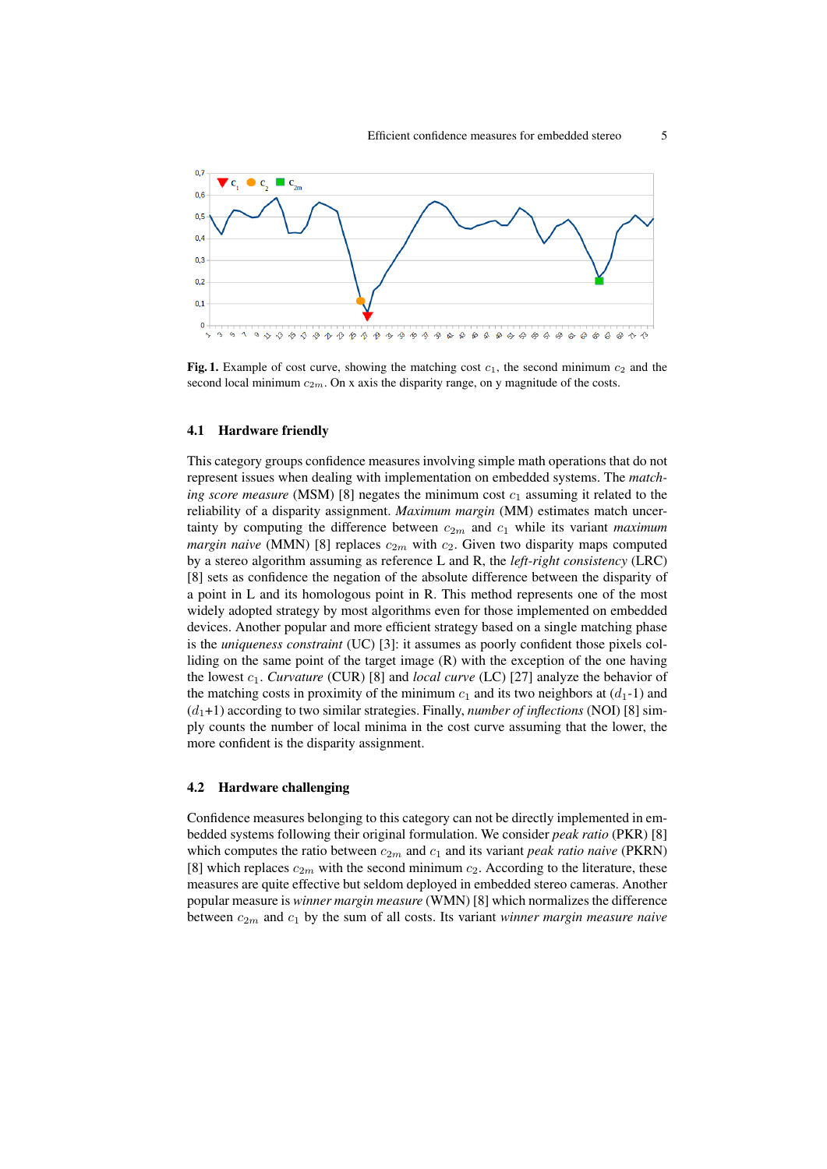

Fig. 1. Example of cost curve, showing the matching cost  $c_1$ , the second minimum  $c_2$  and the second local minimum  $c_{2m}$ . On x axis the disparity range, on y magnitude of the costs.

#### 4.1 Hardware friendly

This category groups confidence measures involving simple math operations that do not represent issues when dealing with implementation on embedded systems. The *matching score measure* (MSM) [8] negates the minimum cost  $c_1$  assuming it related to the reliability of a disparity assignment. *Maximum margin* (MM) estimates match uncertainty by computing the difference between  $c_{2m}$  and  $c_1$  while its variant *maximum margin naive* (MMN) [8] replaces  $c_{2m}$  with  $c_2$ . Given two disparity maps computed by a stereo algorithm assuming as reference L and R, the *left-right consistency* (LRC) [8] sets as confidence the negation of the absolute difference between the disparity of a point in L and its homologous point in R. This method represents one of the most widely adopted strategy by most algorithms even for those implemented on embedded devices. Another popular and more efficient strategy based on a single matching phase is the *uniqueness constraint* (UC) [3]: it assumes as poorly confident those pixels colliding on the same point of the target image (R) with the exception of the one having the lowest  $c_1$ . *Curvature* (CUR) [8] and *local curve* (LC) [27] analyze the behavior of the matching costs in proximity of the minimum  $c_1$  and its two neighbors at  $(d_1-1)$  and  $(d_1+1)$  according to two similar strategies. Finally, *number of inflections* (NOI) [8] simply counts the number of local minima in the cost curve assuming that the lower, the more confident is the disparity assignment.

#### 4.2 Hardware challenging

Confidence measures belonging to this category can not be directly implemented in embedded systems following their original formulation. We consider *peak ratio* (PKR) [8] which computes the ratio between  $c_{2m}$  and  $c_1$  and its variant *peak ratio naive* (PKRN) [8] which replaces  $c_{2m}$  with the second minimum  $c_2$ . According to the literature, these measures are quite effective but seldom deployed in embedded stereo cameras. Another popular measure is *winner margin measure* (WMN) [8] which normalizes the difference between  $c_{2m}$  and  $c_1$  by the sum of all costs. Its variant *winner margin measure naive*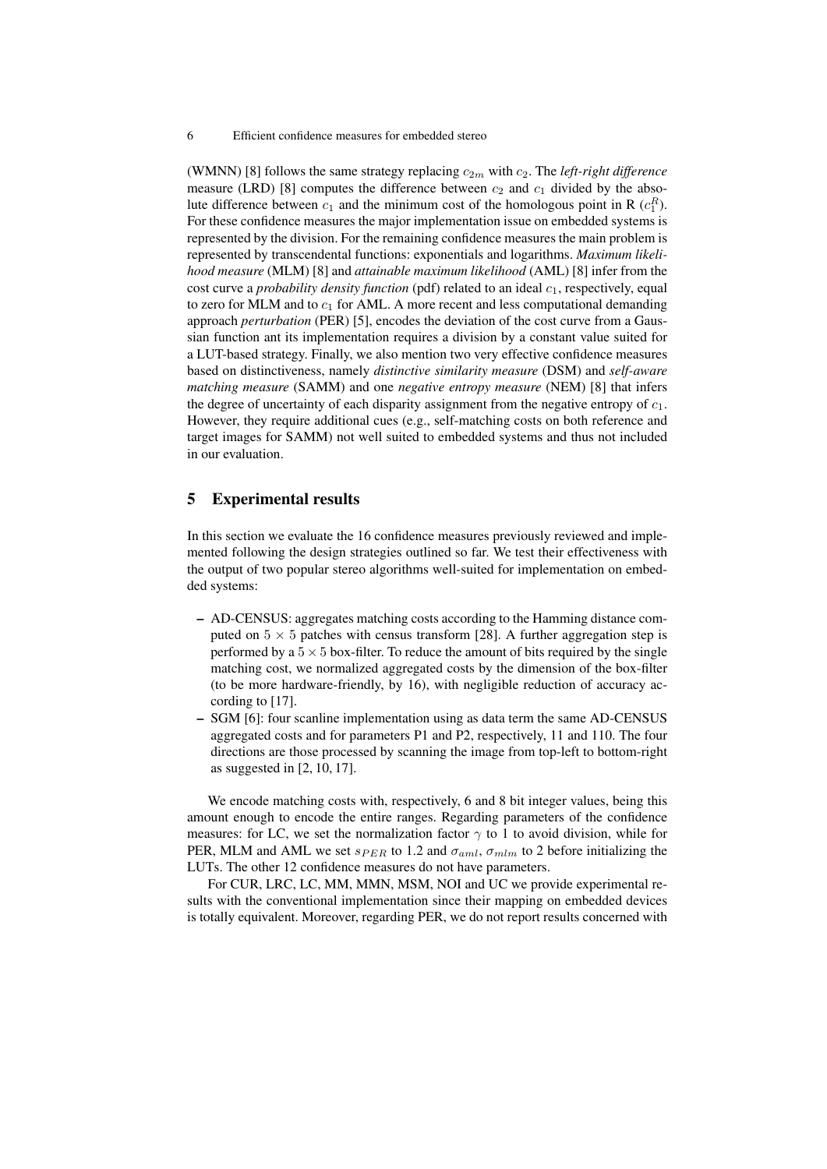6 Efficient confidence measures for embedded stereo

(WMNN) [8] follows the same strategy replacing  $c_{2m}$  with  $c_2$ . The *left-right difference* measure (LRD) [8] computes the difference between  $c_2$  and  $c_1$  divided by the absolute difference between  $c_1$  and the minimum cost of the homologous point in R  $(c_1^R)$ . For these confidence measures the major implementation issue on embedded systems is represented by the division. For the remaining confidence measures the main problem is represented by transcendental functions: exponentials and logarithms. *Maximum likelihood measure* (MLM) [8] and *attainable maximum likelihood* (AML) [8] infer from the cost curve a *probability density function* (pdf) related to an ideal  $c_1$ , respectively, equal to zero for MLM and to  $c_1$  for AML. A more recent and less computational demanding approach *perturbation* (PER) [5], encodes the deviation of the cost curve from a Gaussian function ant its implementation requires a division by a constant value suited for a LUT-based strategy. Finally, we also mention two very effective confidence measures based on distinctiveness, namely *distinctive similarity measure* (DSM) and *self-aware matching measure* (SAMM) and one *negative entropy measure* (NEM) [8] that infers the degree of uncertainty of each disparity assignment from the negative entropy of  $c_1$ . However, they require additional cues (e.g., self-matching costs on both reference and target images for SAMM) not well suited to embedded systems and thus not included in our evaluation.

## 5 Experimental results

In this section we evaluate the 16 confidence measures previously reviewed and implemented following the design strategies outlined so far. We test their effectiveness with the output of two popular stereo algorithms well-suited for implementation on embedded systems:

- AD-CENSUS: aggregates matching costs according to the Hamming distance computed on  $5 \times 5$  patches with census transform [28]. A further aggregation step is performed by a  $5 \times 5$  box-filter. To reduce the amount of bits required by the single matching cost, we normalized aggregated costs by the dimension of the box-filter (to be more hardware-friendly, by 16), with negligible reduction of accuracy according to [17].
- SGM [6]: four scanline implementation using as data term the same AD-CENSUS aggregated costs and for parameters P1 and P2, respectively, 11 and 110. The four directions are those processed by scanning the image from top-left to bottom-right as suggested in [2, 10, 17].

We encode matching costs with, respectively, 6 and 8 bit integer values, being this amount enough to encode the entire ranges. Regarding parameters of the confidence measures: for LC, we set the normalization factor  $\gamma$  to 1 to avoid division, while for PER, MLM and AML we set  $s_{PER}$  to 1.2 and  $\sigma_{aml}$ ,  $\sigma_{mlm}$  to 2 before initializing the LUTs. The other 12 confidence measures do not have parameters.

For CUR, LRC, LC, MM, MMN, MSM, NOI and UC we provide experimental results with the conventional implementation since their mapping on embedded devices is totally equivalent. Moreover, regarding PER, we do not report results concerned with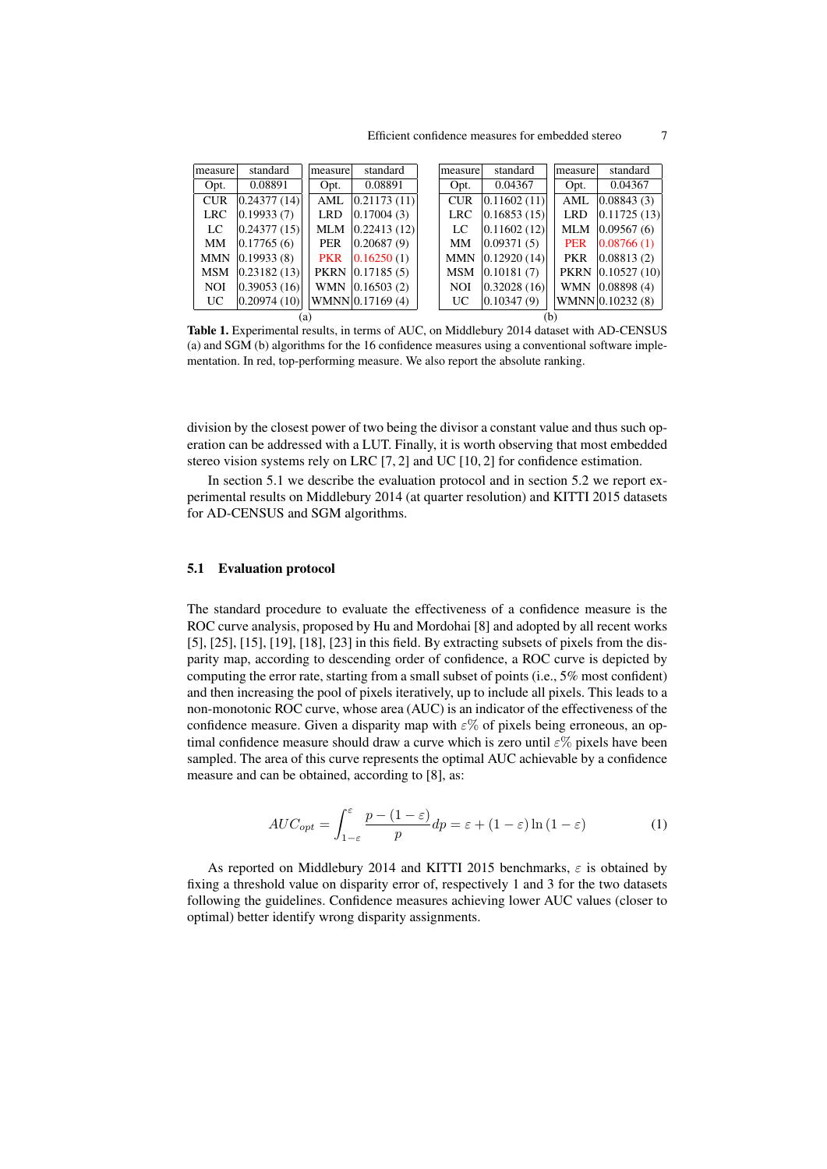| measure    | standard    | measure     | standard         | measure    | standard    | measure     | standard         |  |
|------------|-------------|-------------|------------------|------------|-------------|-------------|------------------|--|
| Opt.       | 0.08891     | Opt.        | 0.08891          | Opt.       | 0.04367     | Opt.        | 0.04367          |  |
| <b>CUR</b> | 0.24377(14) | AML         | 0.21173(11)      | <b>CUR</b> | 0.11602(11) | AML         | 0.08843(3)       |  |
| <b>LRC</b> | 0.19933(7)  | <b>LRD</b>  | 0.17004(3)       | LRC        | 0.16853(15) | <b>LRD</b>  | 0.11725(13)      |  |
| LC         | 0.24377(15) | <b>MLM</b>  | 0.22413(12)      | LC         | 0.11602(12) | <b>MLM</b>  | 0.09567(6)       |  |
| MM         | 0.17765(6)  | <b>PER</b>  | 0.20687(9)       | MМ         | 0.09371(5)  | <b>PER</b>  | 0.08766(1)       |  |
| <b>MMN</b> | 0.19933(8)  | <b>PKR</b>  | 0.16250(1)       | <b>MMN</b> | 0.12920(14) | <b>PKR</b>  | 0.08813(2)       |  |
| <b>MSM</b> | 0.23182(13) | <b>PKRN</b> | 0.17185(5)       | <b>MSM</b> | 0.10181(7)  | <b>PKRN</b> | 0.10527(10)      |  |
| <b>NOI</b> | 0.39053(16) | <b>WMN</b>  | 0.16503(2)       | <b>NOI</b> | 0.32028(16) | <b>WMN</b>  | 0.08898(4)       |  |
| UC         | 0.20974(10) |             | WMNN 0.17169 (4) | UC         | 0.10347(9)  |             | WMNN 0.10232 (8) |  |
| (a)        |             |             |                  | (b)        |             |             |                  |  |

Table 1. Experimental results, in terms of AUC, on Middlebury 2014 dataset with AD-CENSUS (a) and SGM (b) algorithms for the 16 confidence measures using a conventional software implementation. In red, top-performing measure. We also report the absolute ranking.

division by the closest power of two being the divisor a constant value and thus such operation can be addressed with a LUT. Finally, it is worth observing that most embedded stereo vision systems rely on LRC [7, 2] and UC [10, 2] for confidence estimation.

In section 5.1 we describe the evaluation protocol and in section 5.2 we report experimental results on Middlebury 2014 (at quarter resolution) and KITTI 2015 datasets for AD-CENSUS and SGM algorithms.

#### 5.1 Evaluation protocol

The standard procedure to evaluate the effectiveness of a confidence measure is the ROC curve analysis, proposed by Hu and Mordohai [8] and adopted by all recent works [5], [25], [15], [19], [18], [23] in this field. By extracting subsets of pixels from the disparity map, according to descending order of confidence, a ROC curve is depicted by computing the error rate, starting from a small subset of points (i.e., 5% most confident) and then increasing the pool of pixels iteratively, up to include all pixels. This leads to a non-monotonic ROC curve, whose area (AUC) is an indicator of the effectiveness of the confidence measure. Given a disparity map with  $\varepsilon\%$  of pixels being erroneous, an optimal confidence measure should draw a curve which is zero until  $\varepsilon\%$  pixels have been sampled. The area of this curve represents the optimal AUC achievable by a confidence measure and can be obtained, according to [8], as:

$$
AUC_{opt} = \int_{1-\varepsilon}^{\varepsilon} \frac{p - (1-\varepsilon)}{p} dp = \varepsilon + (1-\varepsilon) \ln(1-\varepsilon)
$$
 (1)

As reported on Middlebury 2014 and KITTI 2015 benchmarks,  $\varepsilon$  is obtained by fixing a threshold value on disparity error of, respectively 1 and 3 for the two datasets following the guidelines. Confidence measures achieving lower AUC values (closer to optimal) better identify wrong disparity assignments.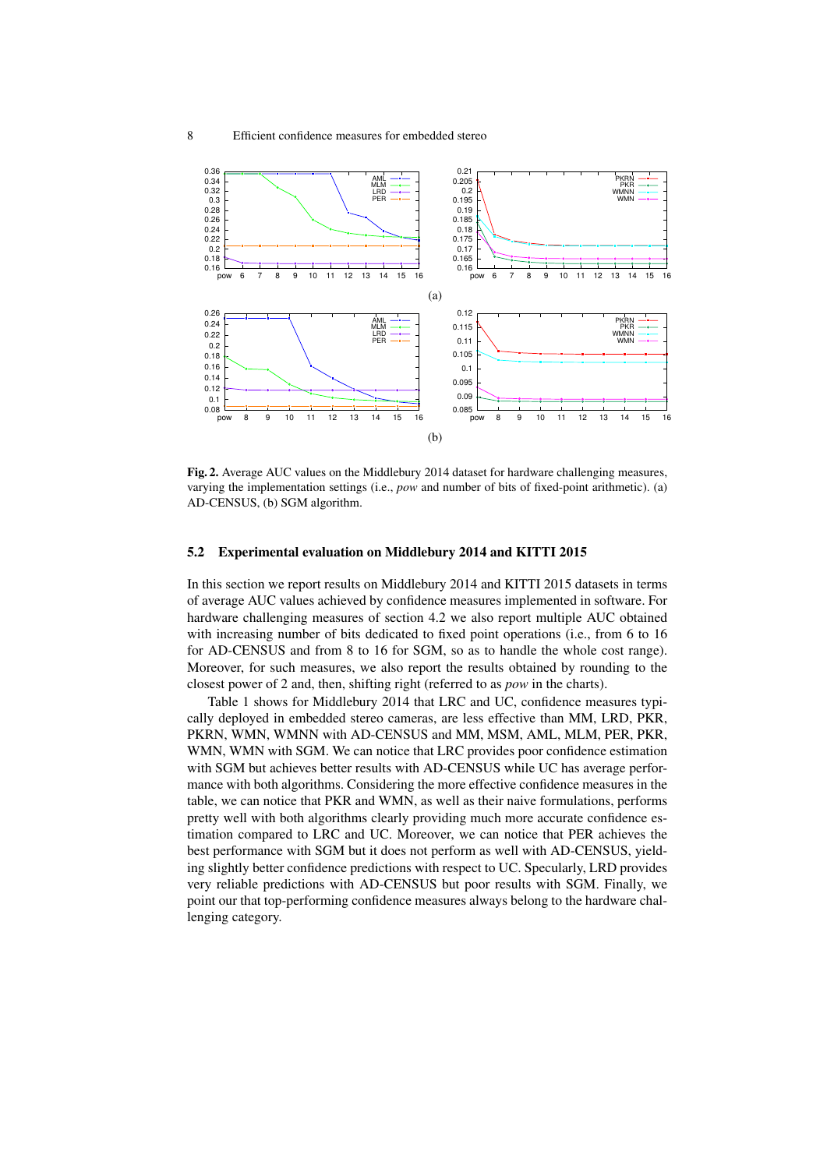

Fig. 2. Average AUC values on the Middlebury 2014 dataset for hardware challenging measures, varying the implementation settings (i.e., *pow* and number of bits of fixed-point arithmetic). (a) AD-CENSUS, (b) SGM algorithm.

#### 5.2 Experimental evaluation on Middlebury 2014 and KITTI 2015

In this section we report results on Middlebury 2014 and KITTI 2015 datasets in terms of average AUC values achieved by confidence measures implemented in software. For hardware challenging measures of section 4.2 we also report multiple AUC obtained with increasing number of bits dedicated to fixed point operations (i.e., from 6 to 16 for AD-CENSUS and from 8 to 16 for SGM, so as to handle the whole cost range). Moreover, for such measures, we also report the results obtained by rounding to the closest power of 2 and, then, shifting right (referred to as *pow* in the charts).

Table 1 shows for Middlebury 2014 that LRC and UC, confidence measures typically deployed in embedded stereo cameras, are less effective than MM, LRD, PKR, PKRN, WMN, WMNN with AD-CENSUS and MM, MSM, AML, MLM, PER, PKR, WMN, WMN with SGM. We can notice that LRC provides poor confidence estimation with SGM but achieves better results with AD-CENSUS while UC has average performance with both algorithms. Considering the more effective confidence measures in the table, we can notice that PKR and WMN, as well as their naive formulations, performs pretty well with both algorithms clearly providing much more accurate confidence estimation compared to LRC and UC. Moreover, we can notice that PER achieves the best performance with SGM but it does not perform as well with AD-CENSUS, yielding slightly better confidence predictions with respect to UC. Specularly, LRD provides very reliable predictions with AD-CENSUS but poor results with SGM. Finally, we point our that top-performing confidence measures always belong to the hardware challenging category.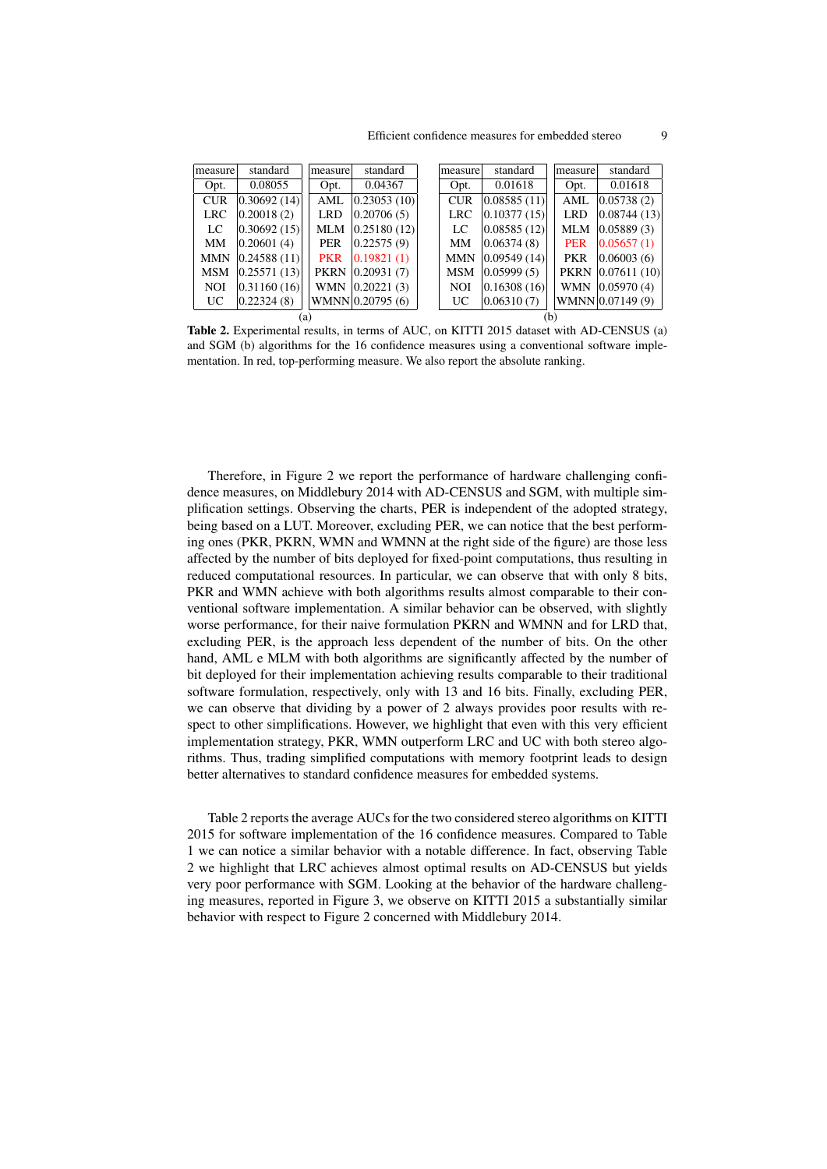| measure    | standard    | measure     | standard         | measure    | standard    |  | measure     | standard         |  |
|------------|-------------|-------------|------------------|------------|-------------|--|-------------|------------------|--|
| Opt.       | 0.08055     | Opt.        | 0.04367          | Opt.       | 0.01618     |  | Opt.        | 0.01618          |  |
| <b>CUR</b> | 0.30692(14) | AML         | 0.23053(10)      | <b>CUR</b> | 0.08585(11) |  | AML         | 0.05738(2)       |  |
| <b>LRC</b> | 0.20018(2)  | <b>LRD</b>  | 0.20706(5)       | <b>LRC</b> | 0.10377(15) |  | <b>LRD</b>  | 0.08744(13)      |  |
| LC         | 0.30692(15) | <b>MLM</b>  | 0.25180(12)      | LC         | 0.08585(12) |  | <b>MLM</b>  | 0.05889(3)       |  |
| MM         | 0.20601(4)  | <b>PER</b>  | 0.22575(9)       | MM         | 0.06374(8)  |  | <b>PER</b>  | 0.05657(1)       |  |
| <b>MMN</b> | 0.24588(11) | <b>PKR</b>  | 0.19821(1)       | <b>MMN</b> | 0.09549(14) |  | <b>PKR</b>  | 0.06003(6)       |  |
| <b>MSM</b> | 0.25571(13) | <b>PKRN</b> | 0.20931(7)       | <b>MSM</b> | 0.05999(5)  |  | <b>PKRN</b> | 0.07611(10)      |  |
| <b>NOI</b> | 0.31160(16) | <b>WMN</b>  | 0.20221(3)       | <b>NOI</b> | 0.16308(16) |  | <b>WMN</b>  | 0.05970(4)       |  |
| UC         | 0.22324(8)  |             | WMNN 0.20795 (6) | UC         | 0.06310(7)  |  |             | WMNN 0.07149 (9) |  |
| (a)        |             |             |                  | (b)        |             |  |             |                  |  |

Table 2. Experimental results, in terms of AUC, on KITTI 2015 dataset with AD-CENSUS (a) and SGM (b) algorithms for the 16 confidence measures using a conventional software implementation. In red, top-performing measure. We also report the absolute ranking.

Therefore, in Figure 2 we report the performance of hardware challenging confidence measures, on Middlebury 2014 with AD-CENSUS and SGM, with multiple simplification settings. Observing the charts, PER is independent of the adopted strategy, being based on a LUT. Moreover, excluding PER, we can notice that the best performing ones (PKR, PKRN, WMN and WMNN at the right side of the figure) are those less affected by the number of bits deployed for fixed-point computations, thus resulting in reduced computational resources. In particular, we can observe that with only 8 bits, PKR and WMN achieve with both algorithms results almost comparable to their conventional software implementation. A similar behavior can be observed, with slightly worse performance, for their naive formulation PKRN and WMNN and for LRD that, excluding PER, is the approach less dependent of the number of bits. On the other hand, AML e MLM with both algorithms are significantly affected by the number of bit deployed for their implementation achieving results comparable to their traditional software formulation, respectively, only with 13 and 16 bits. Finally, excluding PER, we can observe that dividing by a power of 2 always provides poor results with respect to other simplifications. However, we highlight that even with this very efficient implementation strategy, PKR, WMN outperform LRC and UC with both stereo algorithms. Thus, trading simplified computations with memory footprint leads to design better alternatives to standard confidence measures for embedded systems.

Table 2 reports the average AUCs for the two considered stereo algorithms on KITTI 2015 for software implementation of the 16 confidence measures. Compared to Table 1 we can notice a similar behavior with a notable difference. In fact, observing Table 2 we highlight that LRC achieves almost optimal results on AD-CENSUS but yields very poor performance with SGM. Looking at the behavior of the hardware challenging measures, reported in Figure 3, we observe on KITTI 2015 a substantially similar behavior with respect to Figure 2 concerned with Middlebury 2014.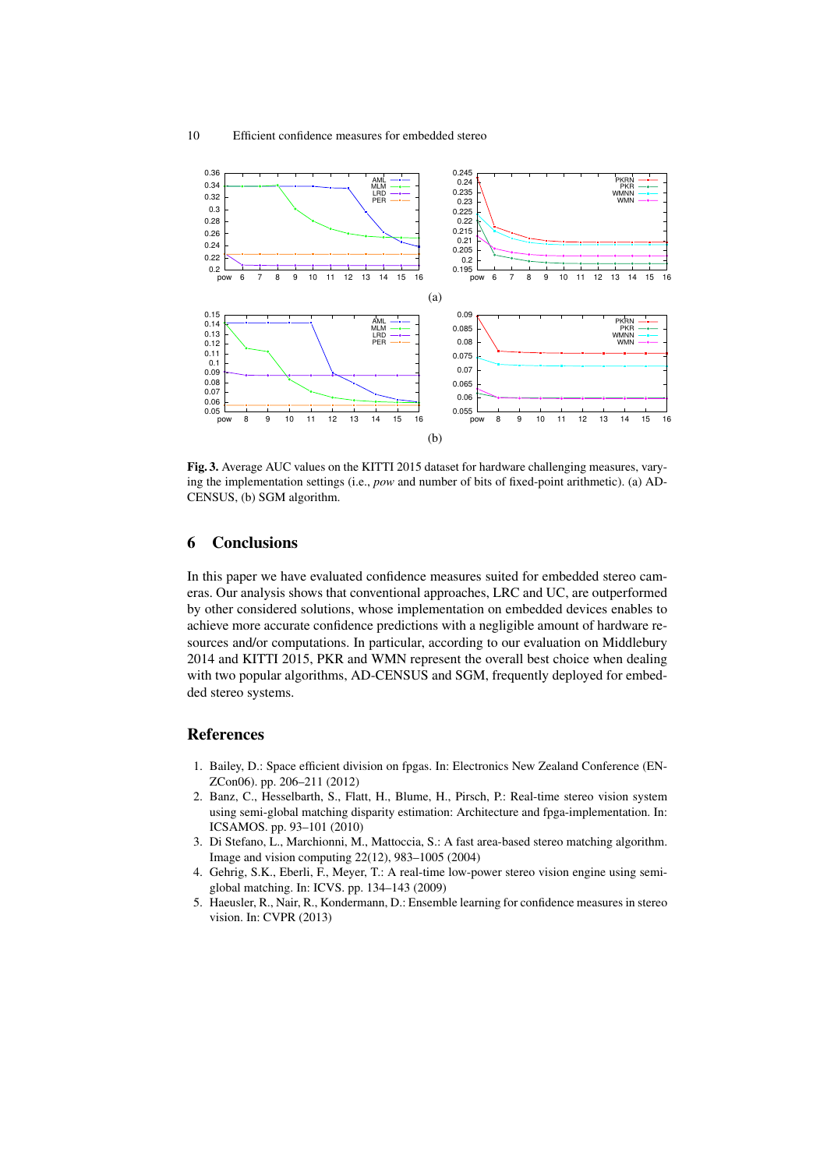

Fig. 3. Average AUC values on the KITTI 2015 dataset for hardware challenging measures, varying the implementation settings (i.e., *pow* and number of bits of fixed-point arithmetic). (a) AD-CENSUS, (b) SGM algorithm.

## 6 Conclusions

In this paper we have evaluated confidence measures suited for embedded stereo cameras. Our analysis shows that conventional approaches, LRC and UC, are outperformed by other considered solutions, whose implementation on embedded devices enables to achieve more accurate confidence predictions with a negligible amount of hardware resources and/or computations. In particular, according to our evaluation on Middlebury 2014 and KITTI 2015, PKR and WMN represent the overall best choice when dealing with two popular algorithms, AD-CENSUS and SGM, frequently deployed for embedded stereo systems.

### References

- 1. Bailey, D.: Space efficient division on fpgas. In: Electronics New Zealand Conference (EN-ZCon06). pp. 206–211 (2012)
- 2. Banz, C., Hesselbarth, S., Flatt, H., Blume, H., Pirsch, P.: Real-time stereo vision system using semi-global matching disparity estimation: Architecture and fpga-implementation. In: ICSAMOS. pp. 93–101 (2010)
- 3. Di Stefano, L., Marchionni, M., Mattoccia, S.: A fast area-based stereo matching algorithm. Image and vision computing 22(12), 983–1005 (2004)
- 4. Gehrig, S.K., Eberli, F., Meyer, T.: A real-time low-power stereo vision engine using semiglobal matching. In: ICVS. pp. 134–143 (2009)
- 5. Haeusler, R., Nair, R., Kondermann, D.: Ensemble learning for confidence measures in stereo vision. In: CVPR (2013)